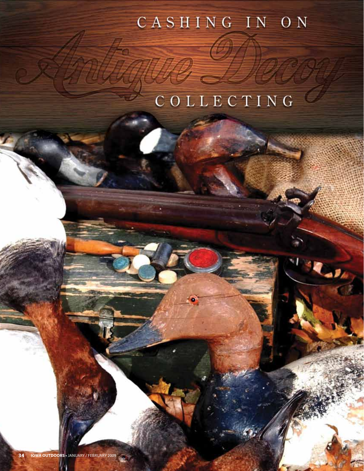# CASHING IN ON

COLLECTING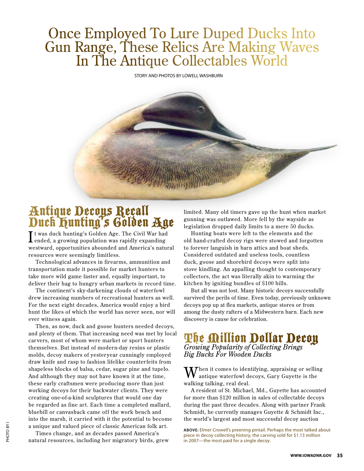#### Once Employed To Lure Duped Ducks Into Gun Range, These Relics Are Making Waves In The Antique Collectables World

STORY AND PHOTOS BY LOWELL WASHBURN



It was duck hunting's Golden Age. The Civil War had<br>I ended, a growing population was rapidly expanding ended, a growing population was rapidly expanding westward, opportunities abounded and America's natural resources were seemingly limitless.

Technological advances in firearms, ammunition and transportation made it possible for market hunters to take more wild game faster and, equally important, to deliver their bag to hungry urban markets in record time.

The continent's sky-darkening clouds of waterfowl drew increasing numbers of recreational hunters as well. For the next eight decades, America would enjoy a bird hunt the likes of which the world has never seen, nor will ever witness again.

Then, as now, duck and goose hunters needed decoys, and plenty of them. That increasing need was met by local car vers, most of whom were market or sport hunters themselves. But instead of modern-day resins or plastic molds, decoy makers of yester year cunningly employed draw knife and rasp to fashion lifelike counterfeits from shapeless blocks of balsa, cedar, sugar pine and tupelo. And although they may not have known it at the time, these early craftsmen were producing more than just working decoys for their backwater clients. They were creating one-of-a-kind sculptures that would one day be regarded as fine art. Each time a completed mallard, bluebill or canvasback came off the work bench and into the marsh, it carried with it the potential to become a unique and valued piece of classic American folk art.

Times change, and as decades passed America's natural resources, including her migratory birds, grew limited. Many old timers gave up the hunt when market gunning was outlawed. More fell by the wayside as legislation dropped daily limits to a mere 50 ducks.

Hunting boats were left to the elements and the old hand-crafted decoy rigs were stowed and forgotten to forever languish in barn attics and boat sheds. Considered outdated and useless tools, countless duck, goose and shorebird decoys were split into stove kindling. An appalling thought to contemporar y collectors, the act was literally akin to warming the kitchen by igniting bundles of \$100 bills.

But all was not lost. Many historic decoys successfully survived the perils of time. Even today, previously unknown decoys pop up at flea markets, antique stores or from among the dusty rafters of a Midwestern barn. Each new discovery is cause for celebration.

#### The Million Dollar Decoy *Growing Popularity of Collecting Brings Big Bucks For Wooden Ducks*

Then it comes to identifying, appraising or selling antique waterfowl decoys, Gary Guyette is the walking talking, real deal.

A resident of St. Michael, Md., Guyette has accounted for more than \$120 million in sales of collectable decoys during the past three decades. Along with partner Frank Schmidt, he currently manages Guyette & Schmidt Inc., the world's largest and most successful decoy auction

**ABOVE:** Elmer Crowell's preening pintail. Perhaps the most talked about piece in decoy collecting history, the carving sold for \$1.13 million in 2007—the most paid for a single decoy.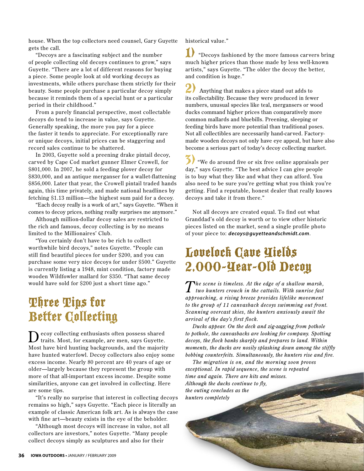house. When the top collectors need counsel, Gary Guyette gets the call.

"Decoys are a fascinating subject and the number of people collecting old decoys continues to grow," says Guyette. "There are a lot of different reasons for buying a piece. Some people look at old working decoys as investments, while others purchase them strictly for their beauty. Some people purchase a particular decoy simply because it reminds them of a special hunt or a particular period in their childhood."

From a purely financial perspective, most collectable decoys do tend to increase in value, says Guyette. Generally speaking, the more you pay for a piece the faster it tends to appreciate. For exceptionally rare or unique decoys, initial prices can be staggering and record sales continue to be shattered.

In 2003, Guyette sold a preening drake pintail decoy, car ved by Cape Cod market gunner Elmer Crowell, for \$801,000. In 2007, he sold a feeding plover decoy for \$830,000, and an antique merganser for a wallet-flattening \$856,000. Later that year, the Crowell pintail traded hands again, this time privately, and made national headlines by fetching \$1.13 million—the highest sum paid for a decoy.

"Each decoy really is a work of art," says Guyette. "When it comes to decoy prices, nothing really surprises me anymore."

Although million-dollar decoy sales are restricted to the rich and famous, decoy collecting is by no means limited to the Millionaires' Club.

"You certainly don't have to be rich to collect worthwhile bird decoys," notes Guyette. "People can still find beautiful pieces for under \$200, and you can purchase some very nice decoys for under \$500." Guyette is currently listing a 1948, mint condition, factory made wooden Wildfowler mallard for \$350. "That same decoy would have sold for \$200 just a short time ago."

## Three Tips for Better Collecting

Decoy collecting enthusiasts often possess shared traits. Most, for example, are men, says Guyette. Most have bird hunting backgrounds, and the majority have hunted waterfowl. Decoy collectors also enjoy some excess income. Nearly 80 percent are 40 years of age or older—largely because they represent the group with more of that all-important excess income. Despite some similarities, anyone can get involved in collecting. Here are some tips.

"It's really no surprise that interest in collecting decoys remains so high," says Guyette. "Each piece is literally an example of classic American folk art. As is always the case with fine art—beauty exists in the eye of the beholder.

"Although most decoys will increase in value, not all collectors are investors," notes Guyette. "Many people collect decoys simply as sculptures and also for their

historical value."

1) "Decoys fashioned by the more famous car vers bring much higher prices than those made by less well-known artists," says Guyette. "The older the decoy the better, and condition is huge."

2) Anything that makes a piece stand out adds to its collectability. Because they were produced in fewer numbers, unusual species like teal, mergansers or wood ducks command higher prices than comparatively more common mallards and bluebills. Preening, sleeping or feeding birds have more potential than traditional poses. Not all collectibles are necessarily hand-carved. Factorymade wooden decoys not only have eye appeal, but have also become a serious part of today's decoy collecting market.

3) "We do around five or six free online appraisals per day," says Guyette. "The best advice I can give people is to buy what they like and what they can afford. You also need to be sure you're getting what you think you're getting. Find a reputable, honest dealer that really knows decoys and take it from there."

Not all decoys are created equal. To find out what Granddad's old decoy is worth or to view other historic pieces listed on the market, send a single profile photo of your piece to: *decoys@guyetteandschmidt.com*.

#### Lovelock Cave Yields 2,000-Year-Old Decoy

*The scene is timeless. At the edge of a shallow marsh, two hunters crouch in the cattails. With sunrise fast approaching, a rising breeze provides lifelike movement to the group of 11 canvasback decoys swimming out front. Scanning overcast skies, the hunters anxiously await the arrival of the day's first flock.*

*Ducks appear. On the deck and zig-zagging from pothole to pothole, the canvasbacks are looking for company. Spotting decoys, the flock banks sharply and prepares to land. Within moments, the ducks are nosily splashing down among the stiffly bobbing counterfeits. Simultaneously, the hunters rise and fire.*

*The migration is on, and the morning soon proves exceptional. In rapid sequence, the scene is repeated time and again. There are hits and misses. Although the ducks continue to fly, the outing concludes as the hunters completely*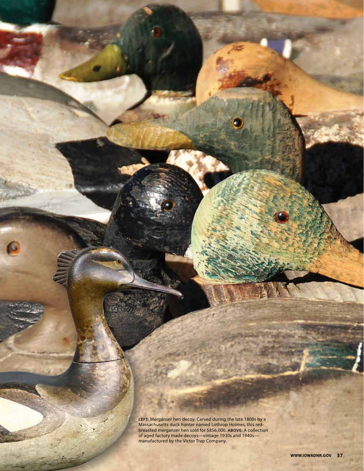**left:** Merganser hen decoy. Carved during the late 1800s by a Massachusetts duck hunter named Lothrop Holmes, this redbreasted merganser hen sold for \$856,000. **ABOVE:** A collection of aged factory made decoys—vintage 1930s and 1940s manufactured by the Victor Trap Company.

**SHE** u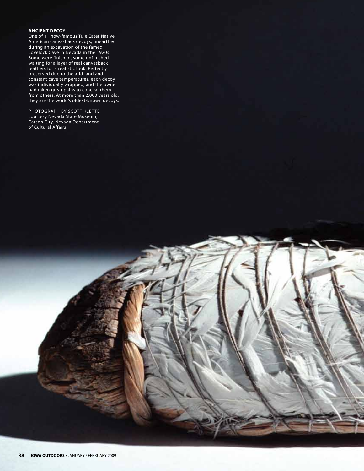#### **ANCIENT DECOY**

One of 11 now-famous Tule Eater Native American canvasback decoys, unearthed during an excavation of the famed Lovelock Cave in Nevada in the 1920s. Some were finished, some unfinished waiting for a layer of real canvasback feathers for a realistic look. Perfectly preserved due to the arid land and constant cave temperatures, each decoy was individually wrapped, and the owner had taken great pains to conceal them from others. At more than 2,000 years old, they are the world's oldest-known decoys.

Photograph by Scott Klette, courtesy Nevada State Museum, Carson City, Nevada Department of Cultural Affairs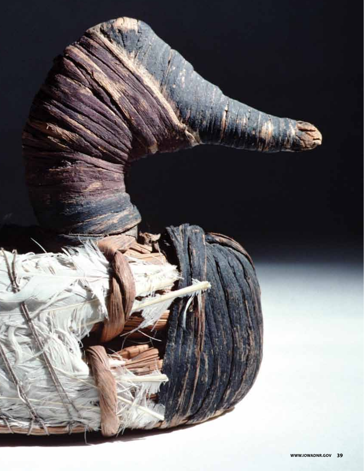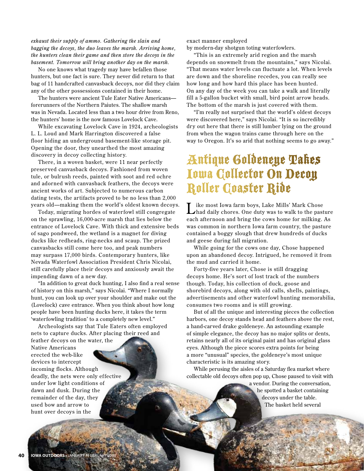*exhaust their supply of ammo. Gathering the slain and bagging the decoys, the duo leaves the marsh. Arriving home, the hunters clean their game and then store the decoys in the basement. Tomorrow will bring another day on the marsh.*

No one knows what tragedy may have befallen those hunters, but one fact is sure. They never did return to that bag of 11 handcrafted canvasback decoys, nor did they claim any of the other possessions contained in their home.

The hunters were ancient Tule Eater Native Americans forerunners of the Northern Paiutes. The shallow marsh was in Nevada. Located less than a two hour drive from Reno, the hunters' home is the now famous Lovelock Cave.

While excavating Lovelock Cave in 1924, archeologists L. L. Loud and Mark Harrington discovered a false floor hiding an underground basement-like storage pit. Opening the door, they unearthed the most amazing discovery in decoy collecting history.

There, in a woven basket, were 11 near perfectly preser ved canvasback decoys. Fashioned from woven tule, or bulrush reeds, painted with soot and red ochre and adorned with canvasback feathers, the decoys were ancient works of art. Subjected to numerous carbon dating tests, the artifacts proved to be no less than 2,000 years old—making them the world's oldest known decoys.

Today, migrating hordes of waterfowl still congregate on the sprawling, 16,000-acre marsh that lies below the entrance of Lovelock Cave. With thick and extensive beds of sago pondweed, the wetland is a magnet for diving ducks like redheads, ring-necks and scaup. The prized canvasbacks still come here too, and peak numbers may surpass 17,000 birds. Contemporary hunters, like Nevada Waterfowl Association President Chris Nicolai, still carefully place their decoys and anxiously await the impending dawn of a new day.

"In addition to great duck hunting, I also find a real sense of history on this marsh," says Nicolai. "Where I normally hunt, you can look up over your shoulder and make out the (Lovelock) cave entrance. When you think about how long people have been hunting ducks here, it takes the term 'waterfowling tradition' to a completely new level."

Archeologists say that Tule Eaters often employed nets to capture ducks. After placing their reed and feather decoys on the water, the

Native Americans erected the web-like devices to intercept incoming flocks. Although deadly, the nets were only effective under low light conditions of dawn and dusk. During the remainder of the day, they used bow and arrow to hunt over decoys in the

exact manner employed

by modern-day shotgun toting waterfowlers.

"This is an extremely arid region and the marsh depends on snowmelt from the mountains," says Nicolai. "That means water levels can fluctuate a lot. When levels are down and the shoreline recedes, you can really see how long and how hard this place has been hunted. On any day of the week you can take a walk and literally fill a 5-gallon bucket with small, bird point arrow heads. The bottom of the marsh is just covered with them.

"I'm really not surprised that the world's oldest decoys were discovered here," says Nicolai. "It is so incredibly dry out here that there is still lumber lying on the ground from when the wagon trains came through here on the way to Oregon. It's so arid that nothing seems to go away."

## Antique Goldeneye Takes Iowa Collector On Decoy Roller Coaster Ride

ike most Iowa farm boys, Lake Mills' Mark Chose had daily chores. One duty was to walk to the pasture each afternoon and bring the cows home for milking. As was common in northern Iowa farm country, the pasture contained a boggy slough that drew hundreds of ducks and geese during fall migration.

While going for the cows one day, Chose happened upon an abandoned decoy. Intrigued, he removed it from the mud and carried it home.

Forty-five years later, Chose is still dragging decoys home. He's sort of lost track of the numbers though. Today, his collection of duck, goose and shorebird decoys, along with old calls, shells, paintings, advertisements and other waterfowl hunting memorabilia, consumes two rooms and is still growing.

But of all the unique and interesting pieces the collection harbors, one decoy stands head and feathers above the rest, a hand-carved drake goldeneye. An astounding example of simple elegance, the decoy has no major splits or dents, retains nearly all of its original paint and has original glass eyes. Although the piece scores extra points for being a more "unusual" species, the goldeneye's most unique characteristic is its amazing story.

While perusing the aisles of a Saturday flea market where collectable old decoys often pop up, Chose paused to visit with

> a vendor. During the conversation, he spotted a basket containing decoys under the table. The basket held several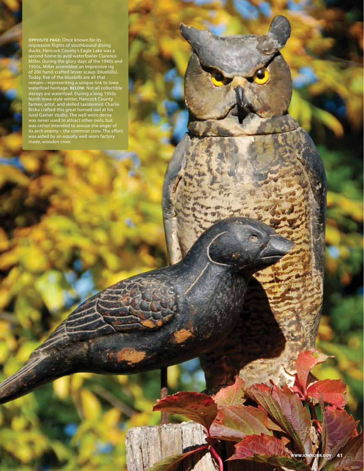**OPPOSITE PAGE:** Once known for its impressive flights of southbound diving ducks, Hancock County's Eagle Lake was a second home to avid waterfowler Clarence Miller. During the glory days of the 1940s and 1950s, Miller assembled an impressive rig of 200 hand-crafted lesser scaup (bluebills). Today, five of the bluebills are all that remain—representing a unique link to Iowa waterfowl heritage. **BELOW:** Not all collectible decoys are waterfowl. During a long 1950s North Iowa-style winter, Hancock County farmer, artist, and skilled taxidermist Charlie Brcka crafted this great horned owl at his rural Garner studio. The well worn decoy was never used to attract other owls, but was rather intended to arouse the anger of its arch enemy – the common crow. The effort was aided by an equally well worn factory made, wooden crow.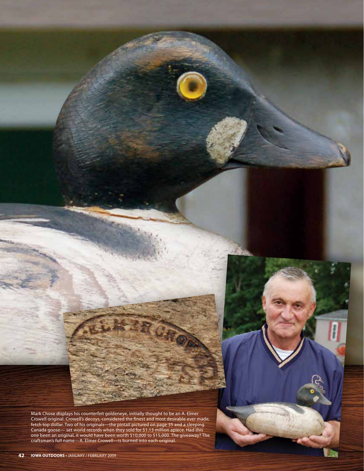

Mark Chose displays his counterfeit goldeneye, initially thought to be an A. Elmer Crowell original. Crowell's decoys, considered the finest and most desirable ever made, fetch top dollar. Two of his originals—the pintail pictured on page 35 and a sleeping Canada goose— set world records when they sold for \$1.13 million apiece. Had this one been an original, it would have been worth \$10,000 to \$15,000. The giveaway? The craftsman's full name—A. Elmer Crowell—is burned into each original.